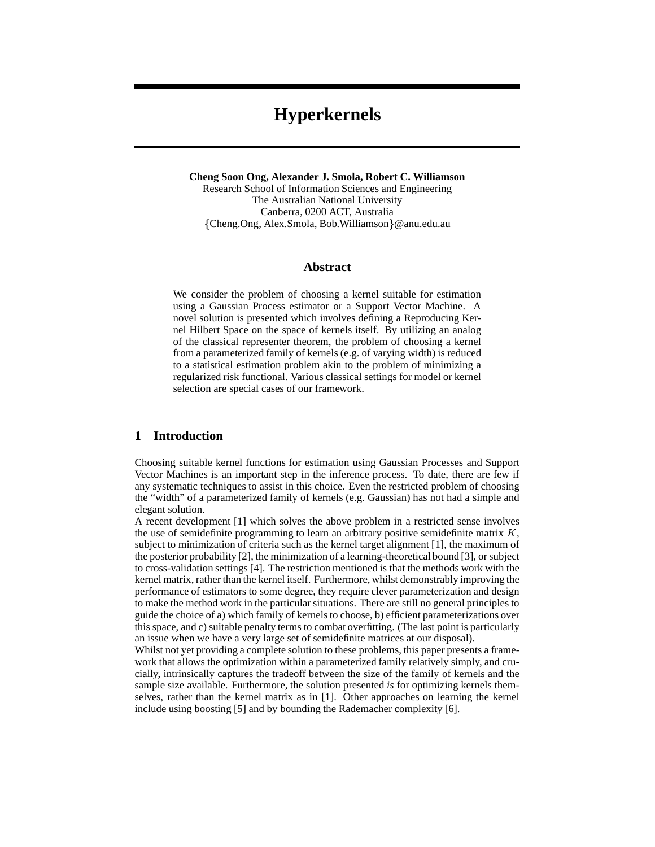# **Hyperkernels**

**Cheng Soon Ong, Alexander J. Smola, Robert C. Williamson** Research School of Information Sciences and Engineering The Australian National University Canberra, 0200 ACT, Australia Cheng.Ong, Alex.Smola, Bob.Williamson @anu.edu.au

#### **Abstract**

We consider the problem of choosing a kernel suitable for estimation using a Gaussian Process estimator or a Support Vector Machine. A novel solution is presented which involves defining a Reproducing Kernel Hilbert Space on the space of kernels itself. By utilizing an analog of the classical representer theorem, the problem of choosing a kernel from a parameterized family of kernels (e.g. of varying width) is reduced to a statistical estimation problem akin to the problem of minimizing a regularized risk functional. Various classical settings for model or kernel selection are special cases of our framework.

### **1 Introduction**

Choosing suitable kernel functions for estimation using Gaussian Processes and Support Vector Machines is an important step in the inference process. To date, there are few if any systematic techniques to assist in this choice. Even the restricted problem of choosing the "width" of a parameterized family of kernels (e.g. Gaussian) has not had a simple and elegant solution.

A recent development [1] which solves the above problem in a restricted sense involves the use of semidefinite programming to learn an arbitrary positive semidefinite matrix  $K$ , subject to minimization of criteria such as the kernel target alignment [1], the maximum of the posterior probability [2], the minimization of a learning-theoretical bound [3], or subject to cross-validation settings [4]. The restriction mentioned is that the methods work with the kernel matrix, rather than the kernel itself. Furthermore, whilst demonstrably improving the performance of estimators to some degree, they require clever parameterization and design to make the method work in the particular situations. There are still no general principles to guide the choice of a) which family of kernels to choose, b) efficient parameterizations over this space, and c) suitable penalty terms to combat overfitting. (The last point is particularly an issue when we have a very large set of semidefinite matrices at our disposal).

Whilst not yet providing a complete solution to these problems, this paper presents a framework that allows the optimization within a parameterized family relatively simply, and crucially, intrinsically captures the tradeoff between the size of the family of kernels and the sample size available. Furthermore, the solution presented *is* for optimizing kernels themselves, rather than the kernel matrix as in [1]. Other approaches on learning the kernel include using boosting [5] and by bounding the Rademacher complexity [6].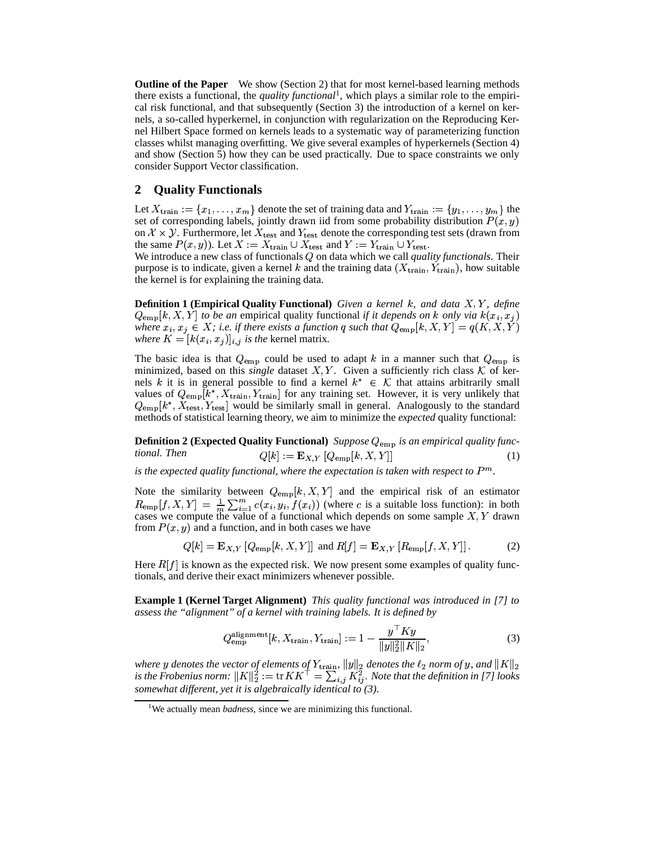**Outline of the Paper** We show (Section 2) that for most kernel-based learning methods there exists a functional, the *quality functional*<sup>1</sup>, which plays a similar role to the empirical risk functional, and that subsequently (Section 3) the introduction of a kernel on kernels, a so-called hyperkernel, in conjunction with regularization on the Reproducing Kernel Hilbert Space formed on kernels leads to a systematic way of parameterizing function classes whilst managing overfitting. We give several examples of hyperkernels (Section 4) and show (Section 5) how they can be used practically. Due to space constraints we only consider Support Vector classification.

#### **2 Quality Functionals**

Let  $X_{\text{train}} := \{x_1, \ldots, x_m\}$  denote the set of training data and  $Y_{\text{train}} := \{y_1, \ldots, y_m\}$  the set of corresponding labels, jointly drawn iid from some probability distribution  $P(x, y)$ on  $\mathcal{X} \times \mathcal{Y}$ . Furthermore, let  $X_{\text{test}}$  and  $Y_{\text{test}}$  denote the corresponding test sets (drawn from the same  $P(x, y)$ ). Let  $X := X_{\text{train}} \cup X_{\text{test}}$  and  $Y := Y_{\text{train}} \cup Y_{\text{test}}$ .

We introduce a new class of functionals Q on data which we call *quality functionals*. Their purpose is to indicate, given a kernel k and the training data  $(X_{\text{train}}, Y_{\text{train}})$ , how suitable the kernel is for explaining the training data.

**Definition 1 (Empirical Quality Functional)** *Given a kernel k, and data* X, Y, define  $Q_{\text{emp}}[k, X, Y]$  to be an empirical quality functional *if it depends on*  $k$  only via  $k(x_i, x_j)$ where  $x_i, x_j \in X$ ; i.e. if there exists a function q such that  $Q_{\text{emp}}[k, X, Y] = q(K, X, Y)$ where  $K = [k(x_i, x_j)]_{i,j}$  is the kernel matrix.

The basic idea is that  $Q_{\text{emp}}$  could be used to adapt k in a manner such that  $Q_{\text{emp}}$  is minimized, based on this *single* dataset X, Y. Given a sufficiently rich class K of kernels k it is in general possible to find a kernel  $k^* \in \mathcal{K}$  that attains arbitrarily small values of  $Q_{\rm{emp}}[k^*, X_{\rm{train}}, Y_{\rm{train}}]$  for any training set. However, it is very unlikely that  $Q_{\rm{emp}}[k^*, X_{\rm{test}}, Y_{\rm{test}}]$  would be similarly small in general. Analogously to the standard methods of statistical learning theory, we aim to minimize the *expected* quality functional:

**Definition 2 (Expected Quality Functional)** *Suppose*  $Q_{\text{emp}}$  *is an empirical quality functional. Then*  $Q[k] := \mathbf{E}_{X,Y}[Q_{\text{emp}}[k, X, Y]]$  $[Y]]$  (1)

is the expected quality functional, where the expectation is taken with respect to  $P^m$ .

Note the similarity between  $Q_{\text{emp}}[k, X, Y]$  and the empirical risk of an estimator  $R_{\text{emp}}[f, X, Y] = \frac{1}{m} \sum_{i=1}^{m} c(x_i, y_i, f(x_i))$  (where c is a suitable loss function): in both cases we compute the value of a functional which depends on some sample  $X, Y$  drawn from  $P(x, y)$  and a function, and in both cases we have

$$
Q[k] = \mathbf{E}_{X,Y} \left[ Q_{\text{emp}}[k, X, Y] \right] \text{ and } R[f] = \mathbf{E}_{X,Y} \left[ R_{\text{emp}}[f, X, Y] \right]. \tag{2}
$$

Here  $R[f]$  is known as the expected risk. We now present some examples of quality functionals, and derive their exact minimizers whenever possible.

**Example 1 (Kernel Target Alignment)** *This quality functional was introduced in [7] to assess the "alignment" of a kernel with training labels. It is defined by*

$$
Q_{\rm emp}^{\rm alignment}[k, X_{\rm train}, Y_{\rm train}] := 1 - \frac{y^{\top} Ky}{\|y\|_2^2 \|K\|_2},\tag{3}
$$

where y denotes the vector of elements of  $Y_{\text{train}}$ ,  $||y||_2$  denotes the  $\ell_2$  norm of y, and  $||K||_2$ <br>is the Frobenius norm:  $||K||_2^2 := \text{tr}KK^\top = \sum_{i,j} K_{ij}^2$ . Note that the definition in [7] looks *somewhat different, yet it is algebraically identical to (3).*

<sup>&</sup>lt;sup>1</sup>We actually mean *badness*, since we are minimizing this functional.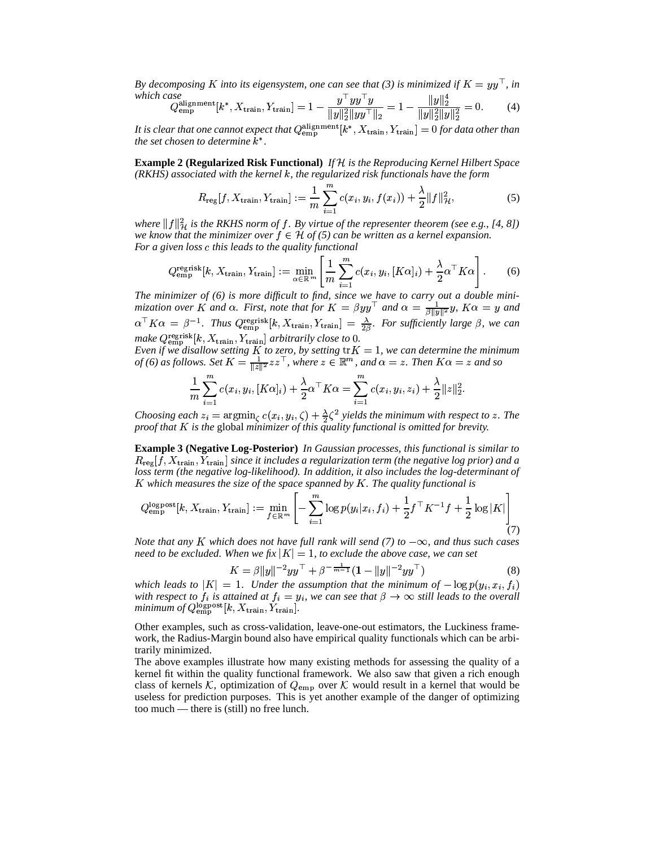By decomposing K into its eigensystem, one can see that (3) is minimized if  $K = yy^{\top}$ , in *which case* <sup>g</sup> R <sup>g</sup> hiji kutoka wa 1972, katika wa 1972, katika wa 1972, katika wa 1972, katika wa 1972, katika wa 1972, katika wa

$$
Q_{\rm emp}^{\rm alignment}[k^*, X_{\rm train}, Y_{\rm train}] = 1 - \frac{y^{\top}yy^{\top}y}{\|y\|_2^2\|yy^{\top}\|_2} = 1 - \frac{\|y\|_2^2}{\|y\|_2^2\|y\|_2^2} = 0. \tag{4}
$$

It is clear that one cannot expect that  $Q_{\rm{emp}}^{\rm{alignment}}[k^*, X_{\rm{train}}, Y_{\rm{train}}] = 0$  for data other than *the set chosen to determine*  $k^*$ .

**Example 2 (Regularized Risk Functional)** *If is the Reproducing Kernel Hilbert Space (RKHS) associated with the kernel k, the regularized risk functionals have the form* 

$$
R_{\text{reg}}[f, X_{\text{train}}, Y_{\text{train}}] := \frac{1}{m} \sum_{i=1}^{m} c(x_i, y_i, f(x_i)) + \frac{\lambda}{2} ||f||_{\mathcal{H}}^2,
$$
(5)

where  $||f||_{{\mathcal H}}^2$  is the RKHS norm of  $f$ . By virtue of the representer theorem (see e.g., [4, 8]) we know that the minimizer over  $f \in \mathcal{H}$  of (5) can be written as a kernel expansion. For a given loss c this leads to the quality functional

$$
Q_{\text{emp}}^{\text{regrisk}}[k, X_{\text{train}}, Y_{\text{train}}] := \min_{\alpha \in \mathbb{R}^m} \left[ \frac{1}{m} \sum_{i=1}^m c(x_i, y_i, [K\alpha]_i) + \frac{\lambda}{2} \alpha^\top K \alpha \right].
$$
 (6)

*The minimizer of (6) is more difficult to find, since we have to carry out a double minimization over* K and  $\alpha$ . First, note that for  $K = \beta y y^{\top}$  and  $\alpha = \frac{1}{\beta \|y\|^2} y$ ,  $K\alpha = y$  and  $\alpha$  $\alpha^+ K \alpha = \beta^{-1}$ . Thus  $Q_{\text{emp}}^{\text{egrisk}}[k, X_{\text{train}}, Y_{\text{train}}] = \frac{\lambda}{\beta \beta}$ . For sufficiently large  $\beta$ , we can make  $Q_{\text{emp}}^{\text{regrisk}}[k, X_{\text{train}}, Y_{\text{train}}]$  arbitrarily close to 0.

*Even if we disallow setting K to zero, by setting*  $trK = 1$ , we can determine the minimum *of* (6) as follows. Set  $K = \frac{1}{\|\cdot\|^2}zz^{\top}$ , where Set  $K = \frac{1}{\|z\|^2} z z^{\top}$ , where  $z \in \mathbb{R}^m$ , and  $\alpha = z$ . Then  $K\alpha = z$  and so

$$
\frac{1}{m} \sum_{i=1}^{m} c(x_i, y_i, [K\alpha]_i) + \frac{\lambda}{2} \alpha^{\top} K \alpha = \sum_{i=1}^{m} c(x_i, y_i, z_i) + \frac{\lambda}{2} ||z||_2^2.
$$

*Choosing each*  $z_i = \argmin_{\zeta} c(x_i, y_i, \zeta) + \frac{\lambda}{2} \zeta^2$  yields the minimum with respect to z. The proof that K is the global minimizer of this quality functional is omitted for brevity.

**Example 3 (Negative Log-Posterior)** *In Gaussian processes, this functional is similar to*  $R_{\text{reg}}[f, X_{\text{train}}, Y_{\text{train}}]$  since it includes a regularization term (the negative log prior) and a *loss term (the negative log-likelihood). In addition, it also includes the log-determinant of* K which measures the size of the space spanned by K. The quality functional is

$$
Q_{\text{emp}}^{\text{logpost}}[k, X_{\text{train}}, Y_{\text{train}}] := \min_{f \in \mathbb{R}^m} \left[ -\sum_{i=1}^m \log p(y_i | x_i, f_i) + \frac{1}{2} f^\top K^{-1} f + \frac{1}{2} \log |K| \right] \tag{7}
$$

*Note that any K which does not have full rank will send (7) to*  $-\infty$ *, and thus such cases* need to be excluded. When we fix  $|K|=1$ , to exclude the above case, we can set

$$
K = \beta ||y||^{-2}yy^{\top} + \beta^{-\frac{1}{m-1}}(1 - ||y||^{-2}yy^{\top})
$$
\n(8)

which leads to  $|K| = 1$ . Under the assumption that the minimum of  $-\log p(y_i, x_i, f_i)$ with respect to  $f_i$  is attained at  $f_i = y_i$ , we can see that  $\beta \to \infty$  still leads to the overall  $minimum\ of\ Q_{\rm emp}^{\rm logpost}[k,X_{\rm train},Y_{\rm train}].$ 

Other examples, such as cross-validation, leave-one-out estimators, the Luckiness framework, the Radius-Margin bound also have empirical quality functionals which can be arbitrarily minimized.

The above examples illustrate how many existing methods for assessing the quality of a kernel fit within the quality functional framework. We also saw that given a rich enough class of kernels K, optimization of  $Q_{\text{emp}}$  over K would result in a kernel that would be useless for prediction purposes. This is yet another example of the danger of optimizing too much — there is (still) no free lunch.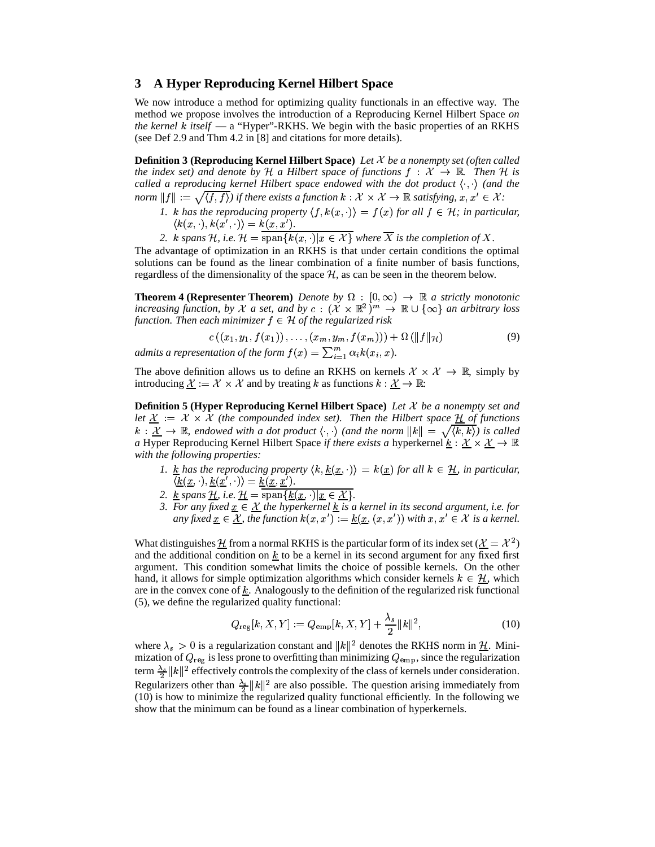# **3 A Hyper Reproducing Kernel Hilbert Space**

We now introduce a method for optimizing quality functionals in an effective way. The method we propose involves the introduction of a Reproducing Kernel Hilbert Space *on the kernel k itself* — a "Hyper"-RKHS. We begin with the basic properties of an RKHS (see Def 2.9 and Thm 4.2 in [8] and citations for more details).

**Definition 3 (Reproducing Kernel Hilbert Space)** *Let* & *be a nonempty set (often called the index set) and denote by* H a Hilbert space of functions  $f : \mathcal{X} \to \mathbb{R}$ . Then H is *called a reproducing kernel Hilbert space endowed with the dot product*  $\langle \cdot, \cdot \rangle$  (and the  $norm \|f\| := \sqrt{\langle f, f \rangle}$  if there exists a function  $k : \mathcal{X} \times \mathcal{X} \to \mathbb{R}$  satisfying,  $x, x' \in \mathcal{X}$ :

- *1. k* has the reproducing property  $\langle f, k(x, \cdot) \rangle = f(x)$  for all  $f \in \mathcal{H}$ ; in particular,  $k(x, \cdot), k(x', \cdot) \rangle = k(x, x').$
- 2. *k* spans H, i.e.  $\mathcal{H} = \text{span}\{k(x, \cdot)|x \in \mathcal{X}\}$  where  $\overline{X}$  is the completion of X.

The advantage of optimization in an RKHS is that under certain conditions the optimal solutions can be found as the linear combination of a finite number of basis functions, regardless of the dimensionality of the space  $H$ , as can be seen in the theorem below.

**Theorem 4 (Representer Theorem)** Denote by  $\Omega : [0, \infty) \to \mathbb{R}$  a strictly monotonic *increasing function, by*  $\mathcal{X}$  *a set, and by*  $c : (\mathcal{X} \times \mathbb{R}^2)^m \to \mathbb{R} \cup {\infty}$  *an arbitrary loss* function. Then each minimizer  $f \in \mathcal{H}$  of the regularized risk

$$
c((x_1, y_1, f(x_1)), \ldots, (x_m, y_m, f(x_m))) + \Omega(\|f\|_{\mathcal{H}})
$$
\n(9)

*admits a representation of the form*  $f(x) = \sum_{i=1}^{m} \alpha_i k(x_i, x)$ .

The above definition allows us to define an RKHS on kernels  $\mathcal{X} \times \mathcal{X} \to \mathbb{R}$ , simply by introducing  $\underline{\mathcal{X}} := \mathcal{X} \times \mathcal{X}$  and by treating k as functions  $k : \underline{\mathcal{X}} \to \mathbb{R}$ .

**Definition 5 (Hyper Reproducing Kernel Hilbert Space)** *Let* & *be a nonempty set and* let  $\underline{\mathcal{X}} := \mathcal{X} \times \mathcal{X}$  (the compounded index set). Then the Hilbert space  $\underline{\mathcal{H}}$  of functions  $k: \mathcal{X} \to \mathbb{R}$ , endowed with a dot product  $\langle \cdot, \cdot \rangle$  (and the norm  $||k|| = \sqrt{\langle k, k \rangle}$ ) is called *a* Hyper Reproducing Kernel Hilbert Space *if there exists a* hyperkernel  $\underline{k}: \underline{\mathcal{X}} \times \underline{\mathcal{X}} \to \mathbb{R}$ *with the following properties:*

- 1. <u>k</u> has the reproducing property  $\langle k, \underline{k}(\underline{x}, \cdot) \rangle = k(\underline{x})$  for all  $k \in \underline{\mathcal{H}}$ , in particular,  $\langle \underline{k}(\underline{x},\cdot), \underline{k}(\underline{x}',\cdot) \rangle = \underline{k}(\underline{x},\underline{x}') .$
- 2. <u>k</u> spans <u>H</u>, i.e.  $\underline{H} = \text{span}\{\underline{k}(\underline{x},\cdot)|\underline{x} \in \underline{\mathcal{X}}\}.$ & *.*
- *3. For any fixed*  $\underline{x} \in \underline{X}$  the hyperkernel  $\underline{k}$  is a kernel in its second argument, i.e. for any fixed  $\underline{x} \in \underline{\mathcal{X}}$ , the function  $k(x, x') := \underline{k}(\underline{x}, (x, x'))$  with  $x, x' \in \mathcal{X}$  is a kernel.

What distinguishes  $\underline{\mathcal{H}}$  from a normal RKHS is the particular form of its index set ( $\underline{\mathcal{X}} = \mathcal{X}^2$ ) and the additional condition on  $k$  to be a kernel in its second argument for any fixed first argument. This condition somewhat limits the choice of possible kernels. On the other hand, it allows for simple optimization algorithms which consider kernels  $k \in \mathcal{H}$ , which are in the convex cone of  $k$ . Analogously to the definition of the regularized risk functional (5), we define the regularized quality functional:

$$
Q_{\text{reg}}[k, X, Y] := Q_{\text{emp}}[k, X, Y] + \frac{\lambda_s}{2} ||k||^2,
$$
\n(10)

where  $\lambda_s > 0$  is a regularization constant and  $||k||^2$  denotes the RKHS norm in  $\underline{\mathcal{H}}$ . Minimization of  $Q_{reg}$  is less prone to overfitting than minimizing  $Q_{emp}$ , since the regularization term  $\frac{\lambda_3}{2} ||k||^2$  effectively controls the complexity of the class of kernels under consideration. Regularizers other than  $\frac{\lambda_s}{2} ||k||^2$  are also possible. The question arising immediately from (10) is how to minimize the regularized quality functional efficiently. In the following we show that the minimum can be found as a linear combination of hyperkernels.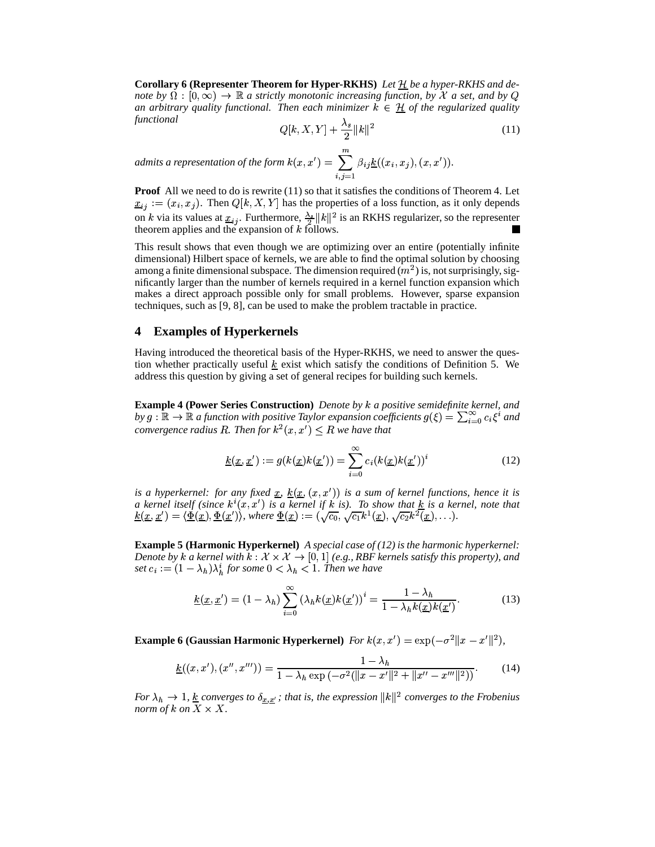**Corollary 6 (Representer Theorem for Hyper-RKHS)** *Let be a hyper-RKHS and denote by*  $\Omega$  :  $[0, \infty) \to \mathbb{R}$  a strictly monotonic increasing function, by X a set, and by Q *an arbitrary quality functional. Then each minimizer*  $k \in \mathcal{H}$  of the regularized quality *functional* \_\_\_\_ <sup>h</sup> <sup>h</sup> <sup>k</sup>

$$
Q[k, X, Y] + \frac{\lambda_s}{2} ||k||^2 \tag{11}
$$

*admits a representation of the form*  $k(x, x') = \sum \beta_{ij} \underline{k}((x_i, x_j), (x, x')).$  $\sum \beta_{ij} k((x_i, x_j), (x, x')).$ 

**Proof** All we need to do is rewrite (11) so that it satisfies the conditions of Theorem 4. Let  $\underline{x}_{ij} := (x_i, x_j)$ . Then  $Q[k, X, Y]$  has the properties of a loss function, as it only depends on k via its values at  $\underline{x}_{ij}$ . Furthermore,  $\frac{\lambda_s}{2} ||k||^2$  is an RKHS regularizer, so the representer theorem applies and the expansion of  $k$  follows.

This result shows that even though we are optimizing over an entire (potentially infinite dimensional) Hilbert space of kernels, we are able to find the optimal solution by choosing among a finite dimensional subspace. The dimension required  $(m^2)$  is, not surprisingly, significantly larger than the number of kernels required in a kernel function expansion which makes a direct approach possible only for small problems. However, sparse expansion techniques, such as [9, 8], can be used to make the problem tractable in practice.

#### **4 Examples of Hyperkernels**

Having introduced the theoretical basis of the Hyper-RKHS, we need to answer the question whether practically useful  $k$  exist which satisfy the conditions of Definition 5. We address this question by giving a set of general recipes for building such kernels.

**Example 4 (Power Series Construction)** Denote by k a positive semidefinite kernel, and by  $g : \mathbb{R} \to \mathbb{R}$  a function with positive Taylor expansion coefficients  $g(\xi) = \sum_{i=0}^{\infty} c_i \xi^i$  and *convergence radius R. Then for*  $k^2(x, x') \leq R$  we have that

$$
\underline{k}(\underline{x}, \underline{x}') := g(k(\underline{x})k(\underline{x}')) = \sum_{i=0}^{\infty} c_i(k(\underline{x})k(\underline{x}'))^i
$$
\n(12)

*is a hyperkernel: for any fixed*  $\underline{x}$ ,  $\underline{k}(\underline{x}, (x, x'))$  *is a sum of kernel functions, hence it is a kernel itself (since*  $k^{i}(x, x')$  *is a kernel if k is). To show that*  $\underline{k}$  *is a kernel, note that*  $k(\underline{x}, \underline{x}') = \langle \underline{\Phi}(\underline{x}), \underline{\Phi}(\underline{x}') \rangle$ , where  $\underline{\Phi}(\underline{x}) := (\sqrt{c_0}, \sqrt{c_1}k^1(\underline{x}), \sqrt{c_2}k^2(\underline{x}), \ldots).$ 

**Example 5 (Harmonic Hyperkernel)** *A special case of (12) is the harmonic hyperkernel:* Denote by  $k$  a kernel with  $k : \mathcal{X} \times \mathcal{X} \to [0,1]$  (e.g., RBF kernels satisfy this property), and set  $c_i := (1 - \lambda_h)\lambda_h^i$  for some  $0 < \lambda_h < 1$ . Then we have

$$
\underline{k}(\underline{x}, \underline{x}') = (1 - \lambda_h) \sum_{i=0}^{\infty} (\lambda_h k(\underline{x}) k(\underline{x}'))^i = \frac{1 - \lambda_h}{1 - \lambda_h k(\underline{x}) k(\underline{x}')}. \tag{13}
$$

**Example 6 (Gaussian Harmonic Hyperkernel)** *For k*( $x, x'$ ) = exp( $-\sigma^2 ||x - x'||^2$ ),

$$
\underline{k}((x, x'), (x'', x''')) = \frac{1 - \lambda_h}{1 - \lambda_h \exp(-\sigma^2(\|x - x'\|^2 + \|x'' - x'''\|^2))}.
$$
 (14)

*For*  $\lambda_h \to 1$ , <u>k</u> converges to  $\delta_{x,x'}$ ; that is, the expression  $||k||^2$  converges to the Frobenius *norm of*  $k$  *on*  $X \times X$ .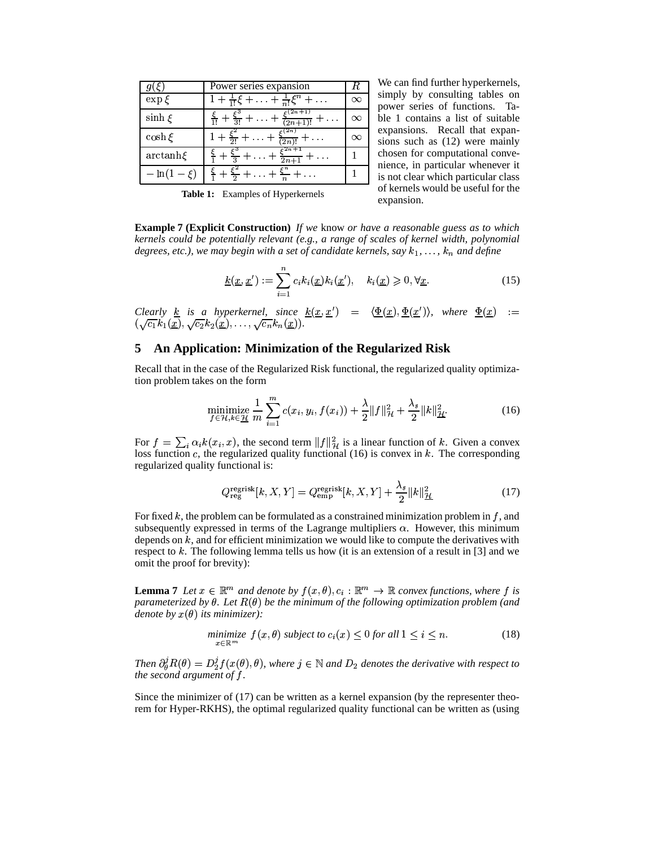| $g(\xi)$     | Power series expansion                                                              | $\boldsymbol{R}$ | We can find further hyperkernels,                                    |
|--------------|-------------------------------------------------------------------------------------|------------------|----------------------------------------------------------------------|
| $\exp \xi$   | $1 + \frac{1}{1!} \xi + \ldots + \frac{1}{n!} \xi^{n} + \ldots$                     | $\infty$         | simply by consulting tables on<br>power series of functions. Ta-     |
| $\sinh \xi$  | $\frac{\xi}{1!}+\frac{\xi^3}{3!}+\ldots+\frac{\xi^{(2n+1)}}{(2n+1)!}+\ldots$        | $\infty$         | ble 1 contains a list of suitable                                    |
| $\cosh \xi$  | $\frac{\xi^2}{1+\frac{\xi^2}{2!}+\ldots+\frac{\xi^{(2n)}}{(2n)!}}+\ldots$           | $\infty$         | expansions. Recall that expan-<br>sions such as (12) were mainly     |
| $arctanh\xi$ | $\frac{\xi}{1} + \frac{\xi^3}{3} + \ldots + \frac{\xi^{2n+1}}{2n+1} + \ldots$       |                  | chosen for computational conve-<br>nience, in particular whenever it |
|              | $-\ln(1-\xi)$ $\frac{\xi}{1} + \frac{\xi^2}{2} + \ldots + \frac{\xi^n}{n} + \ldots$ |                  | is not clear which particular class                                  |

 $\sim$  power series of functions. Ta- $\frac{2}{(n+1)!}$  + ...  $\infty$  | ble 1 contains a list of suitable  $\infty$  sions such as (12) were mainly simply by consulting tables on expansions. Recall that expanchosen for computational convenience, in particular whenever it is not clear which particular class of kernels would be useful for the expansion.

**Table 1:** Examples of Hyperkernels

**Example 7 (Explicit Construction)** *If we* know *or have a reasonable guess as to which kernels could be potentially relevant (e.g., a range of scales of kernel width, polynomial* degrees, etc.), we may begin with a set of candidate kernels, say  $k_1, \ldots, k_n$  and define

$$
\underline{k}(\underline{x}, \underline{x}') := \sum_{i=1}^{n} c_i k_i(\underline{x}) k_i(\underline{x}'), \quad k_i(\underline{x}) \geqslant 0, \forall \underline{x}.
$$
 (15)

*Clearly* <u>k</u> is a hyperkernel, since  $\underline{k}(\underline{x}, \underline{x}') = \langle \underline{\Phi}(\underline{x}), \underline{\Phi}(\underline{x}') \rangle$ , where  $\underline{\Phi}(\underline{x}) :=$  $(\sqrt{c_1}k_1(\underline{x}), \sqrt{c_2}k_2(\underline{x}), \ldots, \sqrt{c_n}k_n(\underline{x})).$ 

# **5 An Application: Minimization of the Regularized Risk**

Recall that in the case of the Regularized Risk functional, the regularized quality optimization problem takes on the form

minimize 
$$
\frac{1}{r} \sum_{i=1}^{m} c(x_i, y_i, f(x_i)) + \frac{\lambda}{2} ||f||_{\mathcal{H}}^2 + \frac{\lambda_s}{2} ||k||_{\mathcal{H}}^2.
$$
 (16)

For  $f = \sum_i \alpha_i k(x_i, x)$ , the second term  $||f||_H^2$  is a linear function of k. Given a convex loss function  $c$ , the regularized quality functional (16) is convex in  $k$ . The corresponding regularized quality functional is:

$$
Q_{\text{reg}}^{\text{regrisk}}[k, X, Y] = Q_{\text{emp}}^{\text{regrisk}}[k, X, Y] + \frac{\lambda_s}{2} ||k||_{\mathcal{H}}^2 \tag{17}
$$

For fixed  $k$ , the problem can be formulated as a constrained minimization problem in  $f$ , and subsequently expressed in terms of the Lagrange multipliers  $\alpha$ . However, this minimum depends on  $k$ , and for efficient minimization we would like to compute the derivatives with respect to  $k$ . The following lemma tells us how (it is an extension of a result in [3] and we omit the proof for brevity):

**Lemma 7** Let  $x \in \mathbb{R}^m$  and denote by  $f(x, \theta), c_i : \mathbb{R}^m \to \mathbb{R}$  convex functions, where f is parameterized by  $\theta$ . Let  $R(\theta)$  be the minimum of the following optimization problem (and  $denote by x(\theta)$  its minimizer):

$$
\underset{x \in \mathbb{R}^m}{\text{minimize}} \ f(x, \theta) \ \text{subject to} \ c_i(x) \le 0 \ \text{for all} \ 1 \le i \le n. \tag{18}
$$

Then  $\partial_{\theta}^{j}R(\theta) = D_{2}^{j}f(x(\theta),\theta)$ , whe  $\partial_2^J f(x(\theta), \theta)$ , where  $j \in \mathbb{N}$  and  $D_2$  denotes the derivative with respect to *the second argument of f.* 

Since the minimizer of (17) can be written as a kernel expansion (by the representer theorem for Hyper-RKHS), the optimal regularized quality functional can be written as (using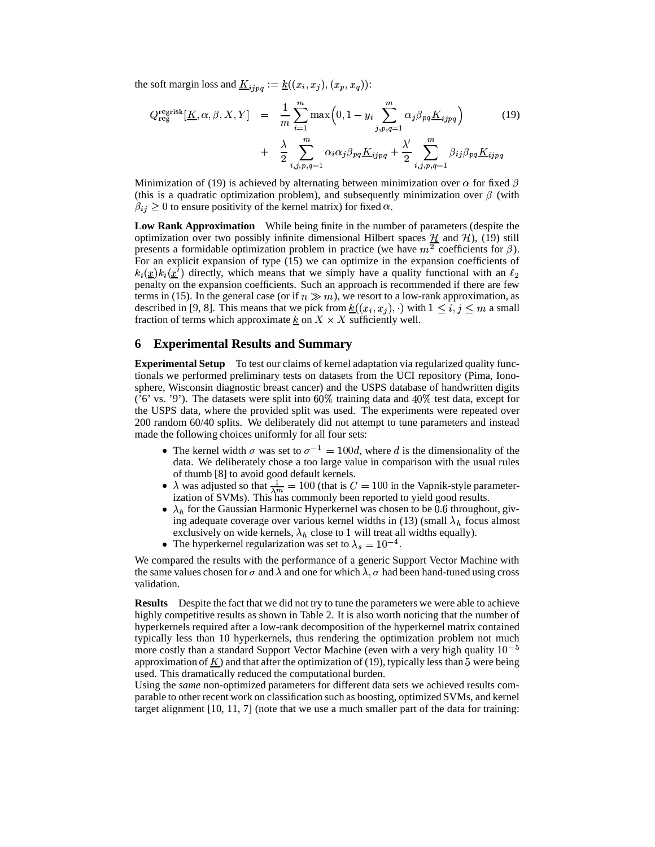the soft margin loss and  $\underline{K}_{i, ing} := \underline{k}((x_i, x_j), (x_p, x_q))$ :

$$
Q_{\text{reg}}^{\text{regrisk}}[K, \alpha, \beta, X, Y] = \frac{1}{m} \sum_{i=1}^{m} \max\left(0, 1 - y_i \sum_{j, p, q=1}^{m} \alpha_j \beta_{pq} \underline{K}_{ijpq}\right) \qquad (19)
$$

$$
+ \frac{\lambda}{2} \sum_{i, j, p, q=1}^{m} \alpha_i \alpha_j \beta_{pq} \underline{K}_{ijpq} + \frac{\lambda'}{2} \sum_{i, j, p, q=1}^{m} \beta_{ij} \beta_{pq} \underline{K}_{ijpq}
$$

Minimization of (19) is achieved by alternating between minimization over  $\alpha$  for fixed  $\beta$ (this is a quadratic optimization problem), and subsequently minimization over  $\beta$  (with  $\beta_{ij} \geq 0$  to ensure positivity of the kernel matrix) for fixed  $\alpha$ .

**Low Rank Approximation** While being finite in the number of parameters (despite the optimization over two possibly infinite dimensional Hilbert spaces  $\mathcal{H}$  and  $\mathcal{H}$ ), (19) still presents a formidable optimization problem in practice (we have  $m^2$  coefficients for  $\beta$ ). For an explicit expansion of type (15) we can optimize in the expansion coefficients of  $k_i(\underline{x})k_i(\underline{x}')$  directly, which means that we simply have a quality functional with an  $\ell_2$ penalty on the expansion coefficients. Such an approach is recommended if there are few terms in (15). In the general case (or if  $n \gg m$ ), we resort to a low-rank approximation, as described in [9, 8]. This means that we pick from  $\underline{k}((x_i, x_j), \cdot)$  with  $1 \leq i, j \leq m$  a small fraction of terms which approximate  $\underline{k}$  on  $X \times X$  sufficiently well.

# **6 Experimental Results and Summary**

**Experimental Setup** To test our claims of kernel adaptation via regularized quality functionals we performed preliminary tests on datasets from the UCI repository (Pima, Ionosphere, Wisconsin diagnostic breast cancer) and the USPS database of handwritten digits ('6' vs. '9'). The datasets were split into  $60\%$  training data and  $40\%$  test data, except for the USPS data, where the provided split was used. The experiments were repeated over 200 random 60/40 splits. We deliberately did not attempt to tune parameters and instead made the following choices uniformly for all four sets:

- The kernel width  $\sigma$  was set to  $\sigma^{-1} = 100d$ , where d is the dimensionality of the data. We deliberately chose a too large value in comparison with the usual rules of thumb [8] to avoid good default kernels.
- $\rightarrow \lambda$  was adjusted so that  $\frac{1}{\lambda m} = 100$  (that is  $C = 100$  in the Vapnik-style parameter-<br>instinction of SMAs). This scanner has been appeared to viald good results ization of SVMs). This has commonly been reported to yield good results.
- $\lambda_h$  for the Gaussian Harmonic Hyperkernel was chosen to be 0.6 throughout, giving adequate coverage over various kernel widths in (13) (small  $\lambda_h$  focus almost exclusively on wide kernels,  $\lambda_h$  close to 1 will treat all widths equally).  $\frac{4}{\cdot}$
- The hyperkernel regularization was set to  $\lambda_s = 10^{-4}$ .

We compared the results with the performance of a generic Support Vector Machine with the same values chosen for  $\sigma$  and  $\lambda$  and one for which  $\lambda$ ,  $\sigma$  had been hand-tuned using cross validation.

**Results** Despite the fact that we did not try to tune the parameters we were able to achieve highly competitive results as shown in Table 2. It is also worth noticing that the number of hyperkernels required after a low-rank decomposition of the hyperkernel matrix contained typically less than 10 hyperkernels, thus rendering the optimization problem not much more costly than a standard Support Vector Machine (even with a very high quality  $10^{-5}$ approximation of  $\underline{K}$  and that after the optimization of (19), typically less than 5 were being used. This dramatically reduced the computational burden.

Using the *same* non-optimized parameters for different data sets we achieved results comparable to other recent work on classification such as boosting, optimized SVMs, and kernel target alignment [10, 11, 7] (note that we use a much smaller part of the data for training: